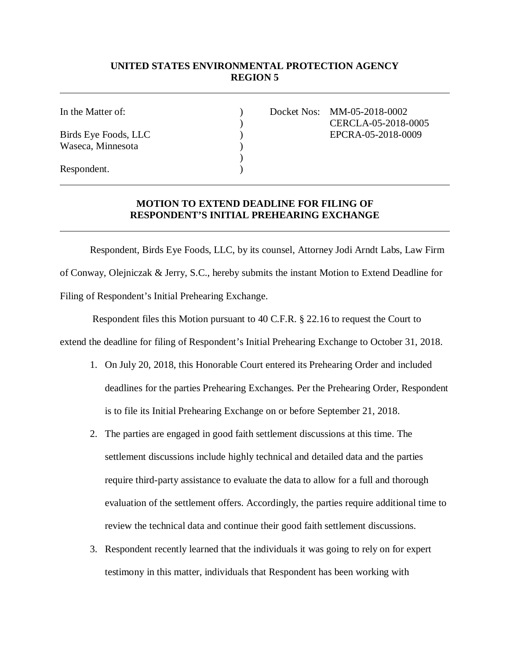## **UNITED STATES ENVIRONMENTAL PROTECTION AGENCY REGION 5**

Waseca, Minnesota (1988)

In the Matter of: ) Docket Nos: MM-05-2018-0002 ) CERCLA-05-2018-0005 Birds Eye Foods, LLC (a) EPCRA-05-2018-0009

Respondent.

## **MOTION TO EXTEND DEADLINE FOR FILING OF RESPONDENT'S INITIAL PREHEARING EXCHANGE**

)

Respondent, Birds Eye Foods, LLC, by its counsel, Attorney Jodi Arndt Labs, Law Firm of Conway, Olejniczak & Jerry, S.C., hereby submits the instant Motion to Extend Deadline for Filing of Respondent's Initial Prehearing Exchange.

 Respondent files this Motion pursuant to 40 C.F.R. § 22.16 to request the Court to extend the deadline for filing of Respondent's Initial Prehearing Exchange to October 31, 2018.

- 1. On July 20, 2018, this Honorable Court entered its Prehearing Order and included deadlines for the parties Prehearing Exchanges. Per the Prehearing Order, Respondent is to file its Initial Prehearing Exchange on or before September 21, 2018.
- 2. The parties are engaged in good faith settlement discussions at this time. The settlement discussions include highly technical and detailed data and the parties require third-party assistance to evaluate the data to allow for a full and thorough evaluation of the settlement offers. Accordingly, the parties require additional time to review the technical data and continue their good faith settlement discussions.
- 3. Respondent recently learned that the individuals it was going to rely on for expert testimony in this matter, individuals that Respondent has been working with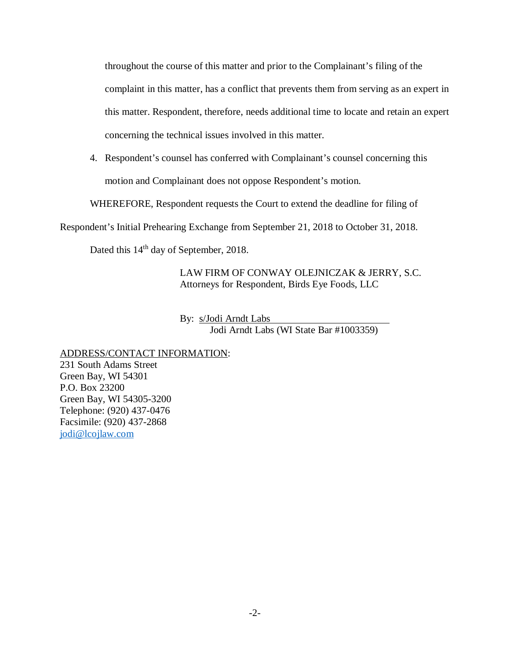throughout the course of this matter and prior to the Complainant's filing of the complaint in this matter, has a conflict that prevents them from serving as an expert in this matter. Respondent, therefore, needs additional time to locate and retain an expert concerning the technical issues involved in this matter.

4. Respondent's counsel has conferred with Complainant's counsel concerning this motion and Complainant does not oppose Respondent's motion.

WHEREFORE, Respondent requests the Court to extend the deadline for filing of

Respondent's Initial Prehearing Exchange from September 21, 2018 to October 31, 2018.

Dated this 14<sup>th</sup> day of September, 2018.

LAW FIRM OF CONWAY OLEJNICZAK & JERRY, S.C. Attorneys for Respondent, Birds Eye Foods, LLC

By: s/Jodi Arndt Labs Jodi Arndt Labs (WI State Bar #1003359)

ADDRESS/CONTACT INFORMATION:

231 South Adams Street Green Bay, WI 54301 P.O. Box 23200 Green Bay, WI 54305-3200 Telephone: (920) 437-0476 Facsimile: (920) 437-2868 [jodi@lcojlaw.com](mailto:jodi@lcojlaw.com)